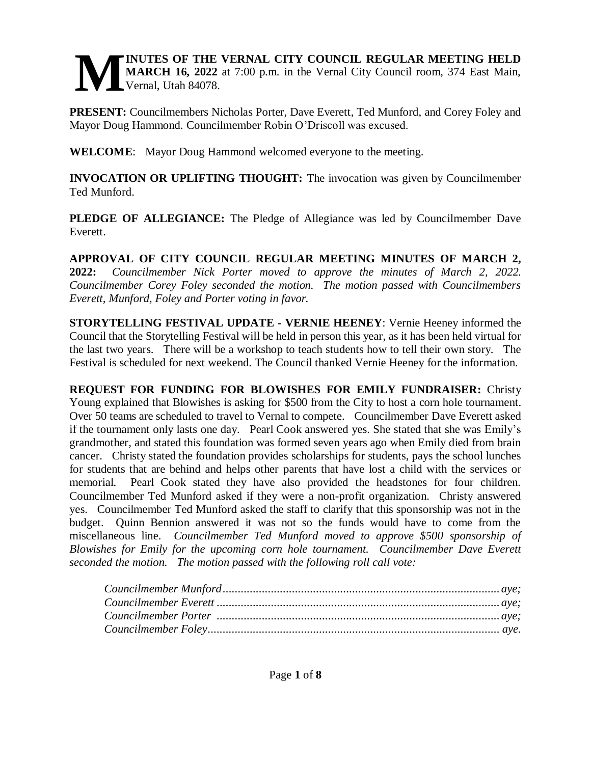#### **INUTES OF THE VERNAL CITY COUNCIL REGULAR MEETING HELD MARCH 16, 2022** at 7:00 p.m. in the Vernal City Council room, 374 East Main, Vernal, Utah 84078. **M**

**PRESENT:** Councilmembers Nicholas Porter, Dave Everett, Ted Munford, and Corey Foley and Mayor Doug Hammond. Councilmember Robin O'Driscoll was excused.

**WELCOME**: Mayor Doug Hammond welcomed everyone to the meeting.

**INVOCATION OR UPLIFTING THOUGHT:** The invocation was given by Councilmember Ted Munford.

**PLEDGE OF ALLEGIANCE:** The Pledge of Allegiance was led by Councilmember Dave Everett.

**APPROVAL OF CITY COUNCIL REGULAR MEETING MINUTES OF MARCH 2, 2022:** *Councilmember Nick Porter moved to approve the minutes of March 2, 2022. Councilmember Corey Foley seconded the motion. The motion passed with Councilmembers Everett, Munford, Foley and Porter voting in favor.* 

**STORYTELLING FESTIVAL UPDATE - VERNIE HEENEY**: Vernie Heeney informed the Council that the Storytelling Festival will be held in person this year, as it has been held virtual for the last two years. There will be a workshop to teach students how to tell their own story. The Festival is scheduled for next weekend. The Council thanked Vernie Heeney for the information.

**REQUEST FOR FUNDING FOR BLOWISHES FOR EMILY FUNDRAISER:** Christy Young explained that Blowishes is asking for \$500 from the City to host a corn hole tournament. Over 50 teams are scheduled to travel to Vernal to compete. Councilmember Dave Everett asked if the tournament only lasts one day. Pearl Cook answered yes. She stated that she was Emily's grandmother, and stated this foundation was formed seven years ago when Emily died from brain cancer. Christy stated the foundation provides scholarships for students, pays the school lunches for students that are behind and helps other parents that have lost a child with the services or memorial. Pearl Cook stated they have also provided the headstones for four children. Councilmember Ted Munford asked if they were a non-profit organization. Christy answered yes. Councilmember Ted Munford asked the staff to clarify that this sponsorship was not in the budget. Quinn Bennion answered it was not so the funds would have to come from the miscellaneous line. *Councilmember Ted Munford moved to approve \$500 sponsorship of Blowishes for Emily for the upcoming corn hole tournament. Councilmember Dave Everett seconded the motion. The motion passed with the following roll call vote:*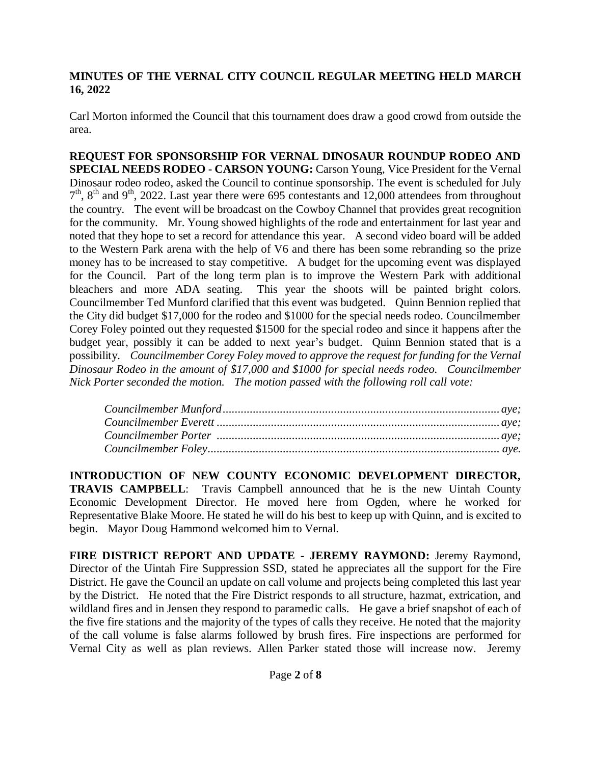Carl Morton informed the Council that this tournament does draw a good crowd from outside the area.

**REQUEST FOR SPONSORSHIP FOR VERNAL DINOSAUR ROUNDUP RODEO AND SPECIAL NEEDS RODEO - CARSON YOUNG:** Carson Young, Vice President for the Vernal Dinosaur rodeo rodeo, asked the Council to continue sponsorship. The event is scheduled for July  $7<sup>th</sup>$ ,  $8<sup>th</sup>$  and  $9<sup>th</sup>$ , 2022. Last year there were 695 contestants and 12,000 attendees from throughout the country. The event will be broadcast on the Cowboy Channel that provides great recognition for the community. Mr. Young showed highlights of the rode and entertainment for last year and noted that they hope to set a record for attendance this year. A second video board will be added to the Western Park arena with the help of V6 and there has been some rebranding so the prize money has to be increased to stay competitive. A budget for the upcoming event was displayed for the Council. Part of the long term plan is to improve the Western Park with additional bleachers and more ADA seating. This year the shoots will be painted bright colors. Councilmember Ted Munford clarified that this event was budgeted. Quinn Bennion replied that the City did budget \$17,000 for the rodeo and \$1000 for the special needs rodeo. Councilmember Corey Foley pointed out they requested \$1500 for the special rodeo and since it happens after the budget year, possibly it can be added to next year's budget. Quinn Bennion stated that is a possibility. *Councilmember Corey Foley moved to approve the request for funding for the Vernal Dinosaur Rodeo in the amount of \$17,000 and \$1000 for special needs rodeo. Councilmember Nick Porter seconded the motion. The motion passed with the following roll call vote:* 

**INTRODUCTION OF NEW COUNTY ECONOMIC DEVELOPMENT DIRECTOR, TRAVIS CAMPBELL**: Travis Campbell announced that he is the new Uintah County Economic Development Director. He moved here from Ogden, where he worked for Representative Blake Moore. He stated he will do his best to keep up with Quinn, and is excited to begin. Mayor Doug Hammond welcomed him to Vernal.

**FIRE DISTRICT REPORT AND UPDATE - JEREMY RAYMOND:** Jeremy Raymond, Director of the Uintah Fire Suppression SSD, stated he appreciates all the support for the Fire District. He gave the Council an update on call volume and projects being completed this last year by the District. He noted that the Fire District responds to all structure, hazmat, extrication, and wildland fires and in Jensen they respond to paramedic calls. He gave a brief snapshot of each of the five fire stations and the majority of the types of calls they receive. He noted that the majority of the call volume is false alarms followed by brush fires. Fire inspections are performed for Vernal City as well as plan reviews. Allen Parker stated those will increase now. Jeremy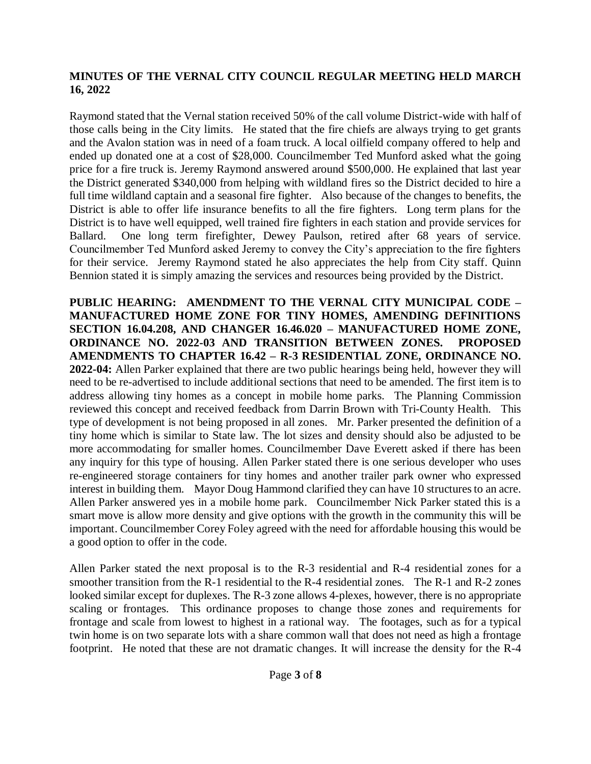Raymond stated that the Vernal station received 50% of the call volume District-wide with half of those calls being in the City limits. He stated that the fire chiefs are always trying to get grants and the Avalon station was in need of a foam truck. A local oilfield company offered to help and ended up donated one at a cost of \$28,000. Councilmember Ted Munford asked what the going price for a fire truck is. Jeremy Raymond answered around \$500,000. He explained that last year the District generated \$340,000 from helping with wildland fires so the District decided to hire a full time wildland captain and a seasonal fire fighter. Also because of the changes to benefits, the District is able to offer life insurance benefits to all the fire fighters. Long term plans for the District is to have well equipped, well trained fire fighters in each station and provide services for Ballard. One long term firefighter, Dewey Paulson, retired after 68 years of service. Councilmember Ted Munford asked Jeremy to convey the City's appreciation to the fire fighters for their service. Jeremy Raymond stated he also appreciates the help from City staff. Quinn Bennion stated it is simply amazing the services and resources being provided by the District.

**PUBLIC HEARING: AMENDMENT TO THE VERNAL CITY MUNICIPAL CODE – MANUFACTURED HOME ZONE FOR TINY HOMES, AMENDING DEFINITIONS SECTION 16.04.208, AND CHANGER 16.46.020 – MANUFACTURED HOME ZONE, ORDINANCE NO. 2022-03 AND TRANSITION BETWEEN ZONES. PROPOSED AMENDMENTS TO CHAPTER 16.42 – R-3 RESIDENTIAL ZONE, ORDINANCE NO. 2022-04:** Allen Parker explained that there are two public hearings being held, however they will need to be re-advertised to include additional sections that need to be amended. The first item is to address allowing tiny homes as a concept in mobile home parks. The Planning Commission reviewed this concept and received feedback from Darrin Brown with Tri-County Health. This type of development is not being proposed in all zones. Mr. Parker presented the definition of a tiny home which is similar to State law. The lot sizes and density should also be adjusted to be more accommodating for smaller homes. Councilmember Dave Everett asked if there has been any inquiry for this type of housing. Allen Parker stated there is one serious developer who uses re-engineered storage containers for tiny homes and another trailer park owner who expressed interest in building them. Mayor Doug Hammond clarified they can have 10 structures to an acre. Allen Parker answered yes in a mobile home park. Councilmember Nick Parker stated this is a smart move is allow more density and give options with the growth in the community this will be important. Councilmember Corey Foley agreed with the need for affordable housing this would be a good option to offer in the code.

Allen Parker stated the next proposal is to the R-3 residential and R-4 residential zones for a smoother transition from the R-1 residential to the R-4 residential zones. The R-1 and R-2 zones looked similar except for duplexes. The R-3 zone allows 4-plexes, however, there is no appropriate scaling or frontages. This ordinance proposes to change those zones and requirements for frontage and scale from lowest to highest in a rational way. The footages, such as for a typical twin home is on two separate lots with a share common wall that does not need as high a frontage footprint. He noted that these are not dramatic changes. It will increase the density for the R-4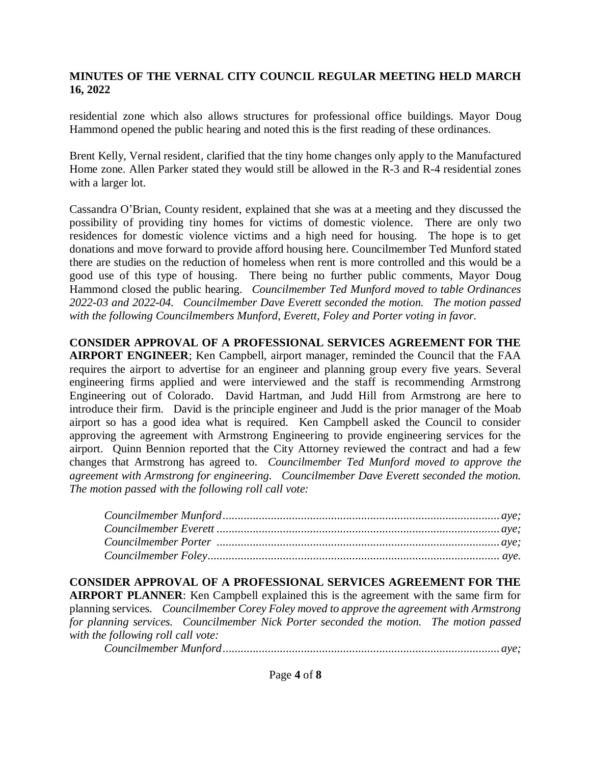residential zone which also allows structures for professional office buildings. Mayor Doug Hammond opened the public hearing and noted this is the first reading of these ordinances.

Brent Kelly, Vernal resident, clarified that the tiny home changes only apply to the Manufactured Home zone. Allen Parker stated they would still be allowed in the R-3 and R-4 residential zones with a larger lot.

Cassandra O'Brian, County resident, explained that she was at a meeting and they discussed the possibility of providing tiny homes for victims of domestic violence. There are only two residences for domestic violence victims and a high need for housing. The hope is to get donations and move forward to provide afford housing here. Councilmember Ted Munford stated there are studies on the reduction of homeless when rent is more controlled and this would be a good use of this type of housing. There being no further public comments, Mayor Doug Hammond closed the public hearing. *Councilmember Ted Munford moved to table Ordinances 2022-03 and 2022-04. Councilmember Dave Everett seconded the motion. The motion passed with the following Councilmembers Munford, Everett, Foley and Porter voting in favor.*

**CONSIDER APPROVAL OF A PROFESSIONAL SERVICES AGREEMENT FOR THE AIRPORT ENGINEER**; Ken Campbell, airport manager, reminded the Council that the FAA requires the airport to advertise for an engineer and planning group every five years. Several engineering firms applied and were interviewed and the staff is recommending Armstrong Engineering out of Colorado. David Hartman, and Judd Hill from Armstrong are here to introduce their firm. David is the principle engineer and Judd is the prior manager of the Moab airport so has a good idea what is required. Ken Campbell asked the Council to consider approving the agreement with Armstrong Engineering to provide engineering services for the airport. Quinn Bennion reported that the City Attorney reviewed the contract and had a few changes that Armstrong has agreed to. *Councilmember Ted Munford moved to approve the agreement with Armstrong for engineering. Councilmember Dave Everett seconded the motion. The motion passed with the following roll call vote:*

**CONSIDER APPROVAL OF A PROFESSIONAL SERVICES AGREEMENT FOR THE AIRPORT PLANNER**: Ken Campbell explained this is the agreement with the same firm for planning services. *Councilmember Corey Foley moved to approve the agreement with Armstrong for planning services. Councilmember Nick Porter seconded the motion. The motion passed with the following roll call vote:* 

*Councilmember Munford............................................................................................ aye;*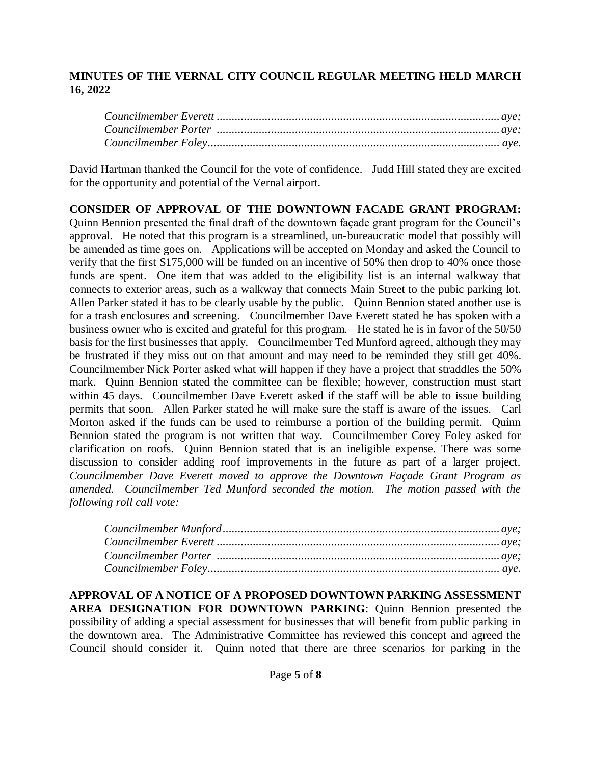David Hartman thanked the Council for the vote of confidence. Judd Hill stated they are excited for the opportunity and potential of the Vernal airport.

**CONSIDER OF APPROVAL OF THE DOWNTOWN FACADE GRANT PROGRAM:** Quinn Bennion presented the final draft of the downtown façade grant program for the Council's approval. He noted that this program is a streamlined, un-bureaucratic model that possibly will be amended as time goes on. Applications will be accepted on Monday and asked the Council to verify that the first \$175,000 will be funded on an incentive of 50% then drop to 40% once those funds are spent. One item that was added to the eligibility list is an internal walkway that connects to exterior areas, such as a walkway that connects Main Street to the pubic parking lot. Allen Parker stated it has to be clearly usable by the public. Quinn Bennion stated another use is for a trash enclosures and screening. Councilmember Dave Everett stated he has spoken with a business owner who is excited and grateful for this program. He stated he is in favor of the 50/50 basis for the first businesses that apply. Councilmember Ted Munford agreed, although they may be frustrated if they miss out on that amount and may need to be reminded they still get 40%. Councilmember Nick Porter asked what will happen if they have a project that straddles the 50% mark. Quinn Bennion stated the committee can be flexible; however, construction must start within 45 days. Councilmember Dave Everett asked if the staff will be able to issue building permits that soon. Allen Parker stated he will make sure the staff is aware of the issues. Carl Morton asked if the funds can be used to reimburse a portion of the building permit. Quinn Bennion stated the program is not written that way. Councilmember Corey Foley asked for clarification on roofs. Quinn Bennion stated that is an ineligible expense. There was some discussion to consider adding roof improvements in the future as part of a larger project. *Councilmember Dave Everett moved to approve the Downtown Façade Grant Program as amended. Councilmember Ted Munford seconded the motion. The motion passed with the following roll call vote:* 

**APPROVAL OF A NOTICE OF A PROPOSED DOWNTOWN PARKING ASSESSMENT AREA DESIGNATION FOR DOWNTOWN PARKING**: Quinn Bennion presented the possibility of adding a special assessment for businesses that will benefit from public parking in the downtown area. The Administrative Committee has reviewed this concept and agreed the Council should consider it. Quinn noted that there are three scenarios for parking in the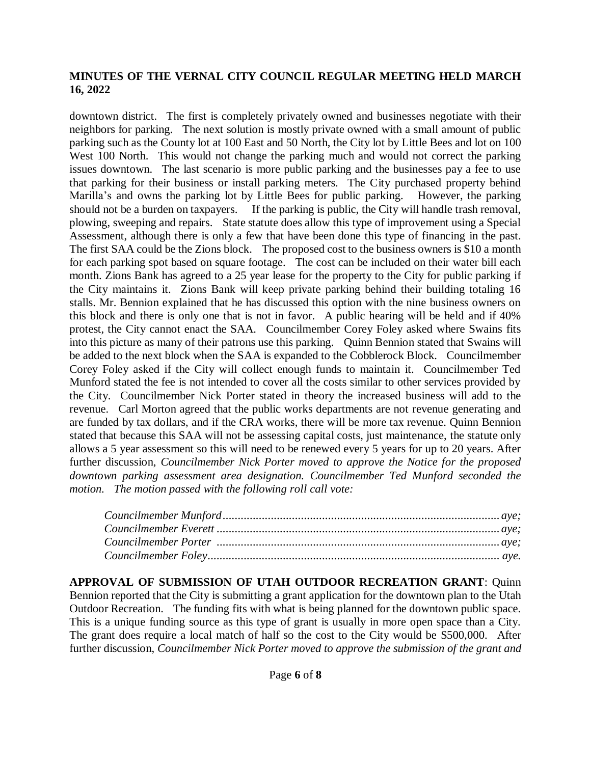downtown district. The first is completely privately owned and businesses negotiate with their neighbors for parking. The next solution is mostly private owned with a small amount of public parking such as the County lot at 100 East and 50 North, the City lot by Little Bees and lot on 100 West 100 North. This would not change the parking much and would not correct the parking issues downtown. The last scenario is more public parking and the businesses pay a fee to use that parking for their business or install parking meters. The City purchased property behind Marilla's and owns the parking lot by Little Bees for public parking. However, the parking should not be a burden on taxpayers. If the parking is public, the City will handle trash removal, plowing, sweeping and repairs. State statute does allow this type of improvement using a Special Assessment, although there is only a few that have been done this type of financing in the past. The first SAA could be the Zions block. The proposed cost to the business owners is \$10 a month for each parking spot based on square footage. The cost can be included on their water bill each month. Zions Bank has agreed to a 25 year lease for the property to the City for public parking if the City maintains it. Zions Bank will keep private parking behind their building totaling 16 stalls. Mr. Bennion explained that he has discussed this option with the nine business owners on this block and there is only one that is not in favor. A public hearing will be held and if 40% protest, the City cannot enact the SAA. Councilmember Corey Foley asked where Swains fits into this picture as many of their patrons use this parking. Quinn Bennion stated that Swains will be added to the next block when the SAA is expanded to the Cobblerock Block. Councilmember Corey Foley asked if the City will collect enough funds to maintain it. Councilmember Ted Munford stated the fee is not intended to cover all the costs similar to other services provided by the City. Councilmember Nick Porter stated in theory the increased business will add to the revenue. Carl Morton agreed that the public works departments are not revenue generating and are funded by tax dollars, and if the CRA works, there will be more tax revenue. Quinn Bennion stated that because this SAA will not be assessing capital costs, just maintenance, the statute only allows a 5 year assessment so this will need to be renewed every 5 years for up to 20 years. After further discussion, *Councilmember Nick Porter moved to approve the Notice for the proposed downtown parking assessment area designation. Councilmember Ted Munford seconded the motion. The motion passed with the following roll call vote:*

**APPROVAL OF SUBMISSION OF UTAH OUTDOOR RECREATION GRANT**: Quinn Bennion reported that the City is submitting a grant application for the downtown plan to the Utah Outdoor Recreation. The funding fits with what is being planned for the downtown public space. This is a unique funding source as this type of grant is usually in more open space than a City. The grant does require a local match of half so the cost to the City would be \$500,000. After further discussion, *Councilmember Nick Porter moved to approve the submission of the grant and*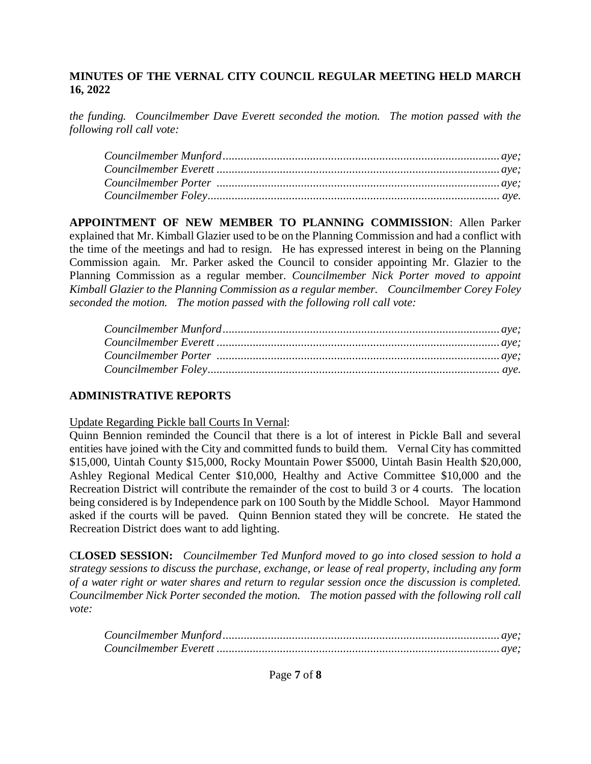*the funding. Councilmember Dave Everett seconded the motion. The motion passed with the following roll call vote:*

**APPOINTMENT OF NEW MEMBER TO PLANNING COMMISSION**: Allen Parker explained that Mr. Kimball Glazier used to be on the Planning Commission and had a conflict with the time of the meetings and had to resign. He has expressed interest in being on the Planning Commission again. Mr. Parker asked the Council to consider appointing Mr. Glazier to the Planning Commission as a regular member. *Councilmember Nick Porter moved to appoint Kimball Glazier to the Planning Commission as a regular member. Councilmember Corey Foley seconded the motion. The motion passed with the following roll call vote:*

## **ADMINISTRATIVE REPORTS**

Update Regarding Pickle ball Courts In Vernal:

Quinn Bennion reminded the Council that there is a lot of interest in Pickle Ball and several entities have joined with the City and committed funds to build them. Vernal City has committed \$15,000, Uintah County \$15,000, Rocky Mountain Power \$5000, Uintah Basin Health \$20,000, Ashley Regional Medical Center \$10,000, Healthy and Active Committee \$10,000 and the Recreation District will contribute the remainder of the cost to build 3 or 4 courts. The location being considered is by Independence park on 100 South by the Middle School. Mayor Hammond asked if the courts will be paved. Quinn Bennion stated they will be concrete. He stated the Recreation District does want to add lighting.

C**LOSED SESSION:** *Councilmember Ted Munford moved to go into closed session to hold a strategy sessions to discuss the purchase, exchange, or lease of real property, including any form of a water right or water shares and return to regular session once the discussion is completed. Councilmember Nick Porter seconded the motion. The motion passed with the following roll call vote:*